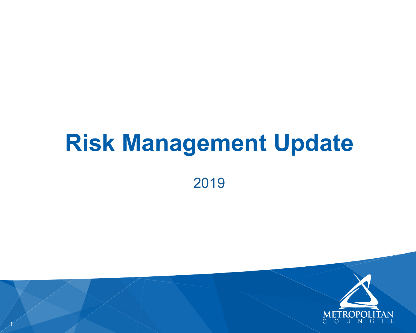# **Risk Management Update**



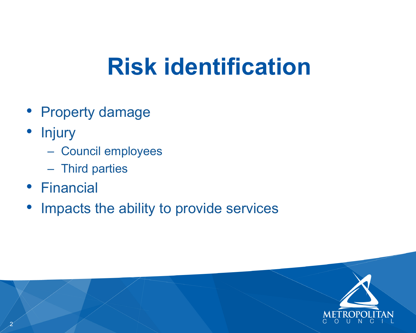# **Risk identification**

- Property damage
- Injury
	- Council employees
	- Third parties
- Financial
- Impacts the ability to provide services



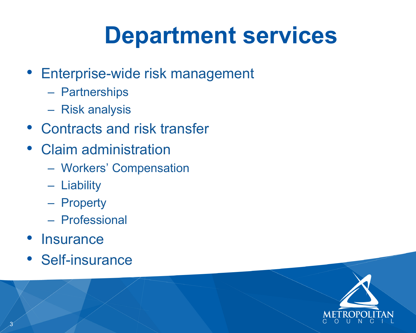- Enterprise-wide risk management
	- Partnerships
	- Risk analysis
- Contracts and risk transfer
- Claim administration
	- Workers' Compensation
	- Liability
	- Property
	- Professional
- Insurance
- Self-insurance

# **Department services**



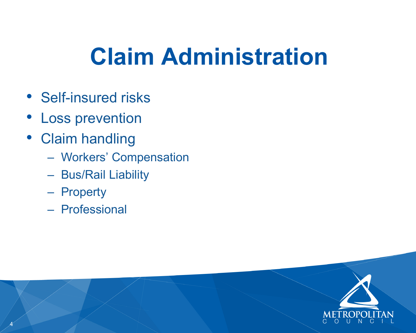- Self-insured risks
- Loss prevention
- Claim handling
	- Workers' Compensation
	- Bus/Rail Liability
	- Property
	- Professional

# **Claim Administration**





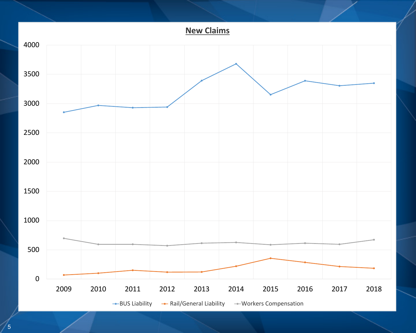

**New Claims**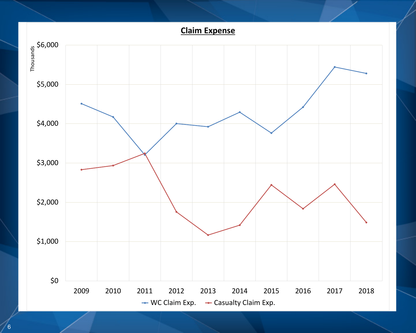

**Claim Expense**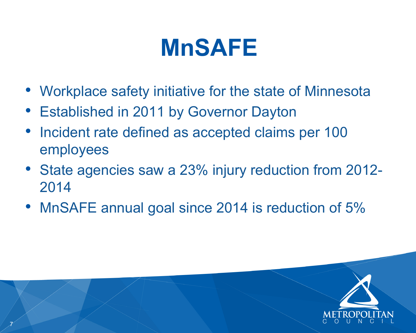- Workplace safety initiative for the state of Minnesota
- **Established in 2011 by Governor Dayton**
- Incident rate defined as accepted claims per 100 employees
- State agencies saw a 23% injury reduction from 2012- 2014
- MnSAFE annual goal since 2014 is reduction of 5%

# **MnSAFE**

7

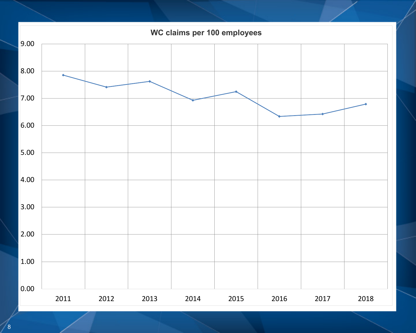## 8

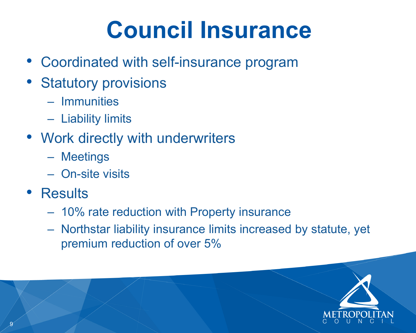## **Council Insurance**

- Coordinated with self-insurance program
- Statutory provisions
	- Immunities
	- Liability limits
- Work directly with underwriters
	- Meetings
	- On-site visits
- Results
	- 10% rate reduction with Property insurance
	- Northstar liability insurance limits increased by statute, yet premium reduction of over 5%





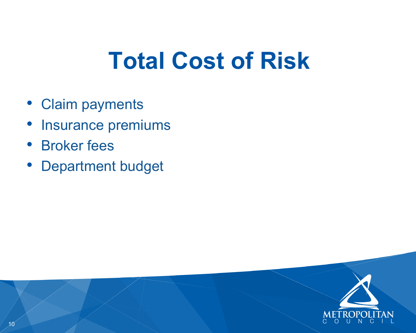- Claim payments
- Insurance premiums
- Broker fees
- Department budget

# **Total Cost of Risk**



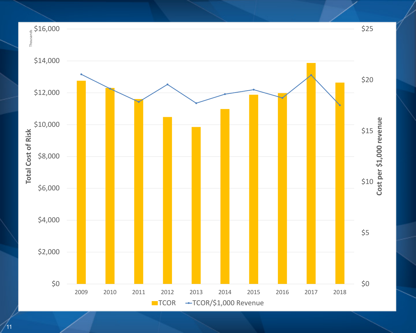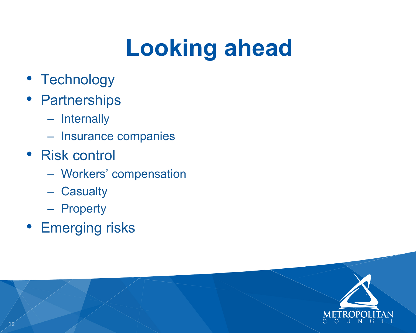- Technology
- Partnerships
	- Internally
	- Insurance companies
- Risk control
	- Workers' compensation
	- Casualty
	- Property
- Emerging risks

# **Looking ahead**

![](_page_11_Picture_11.jpeg)